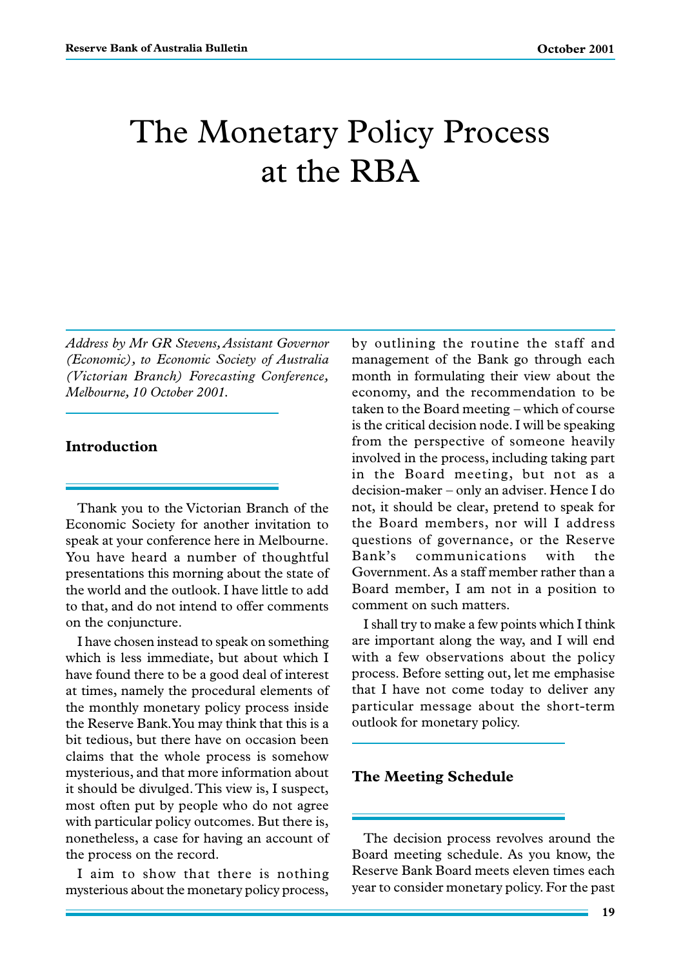# The Monetary Policy Process at the RBA

*Address by Mr GR Stevens, Assistant Governor (Economic), to Economic Society of Australia (Victorian Branch) Forecasting Conference, Melbourne, 10 October 2001.*

#### **Introduction**

Thank you to the Victorian Branch of the Economic Society for another invitation to speak at your conference here in Melbourne. You have heard a number of thoughtful presentations this morning about the state of the world and the outlook. I have little to add to that, and do not intend to offer comments on the conjuncture.

I have chosen instead to speak on something which is less immediate, but about which I have found there to be a good deal of interest at times, namely the procedural elements of the monthly monetary policy process inside the Reserve Bank. You may think that this is a bit tedious, but there have on occasion been claims that the whole process is somehow mysterious, and that more information about it should be divulged. This view is, I suspect, most often put by people who do not agree with particular policy outcomes. But there is, nonetheless, a case for having an account of the process on the record.

I aim to show that there is nothing mysterious about the monetary policy process,

by outlining the routine the staff and management of the Bank go through each month in formulating their view about the economy, and the recommendation to be taken to the Board meeting – which of course is the critical decision node. I will be speaking from the perspective of someone heavily involved in the process, including taking part in the Board meeting, but not as a decision-maker – only an adviser. Hence I do not, it should be clear, pretend to speak for the Board members, nor will I address questions of governance, or the Reserve Bank's communications with the Government. As a staff member rather than a Board member, I am not in a position to comment on such matters.

I shall try to make a few points which I think are important along the way, and I will end with a few observations about the policy process. Before setting out, let me emphasise that I have not come today to deliver any particular message about the short-term outlook for monetary policy.

#### **The Meeting Schedule**

The decision process revolves around the Board meeting schedule. As you know, the Reserve Bank Board meets eleven times each year to consider monetary policy. For the past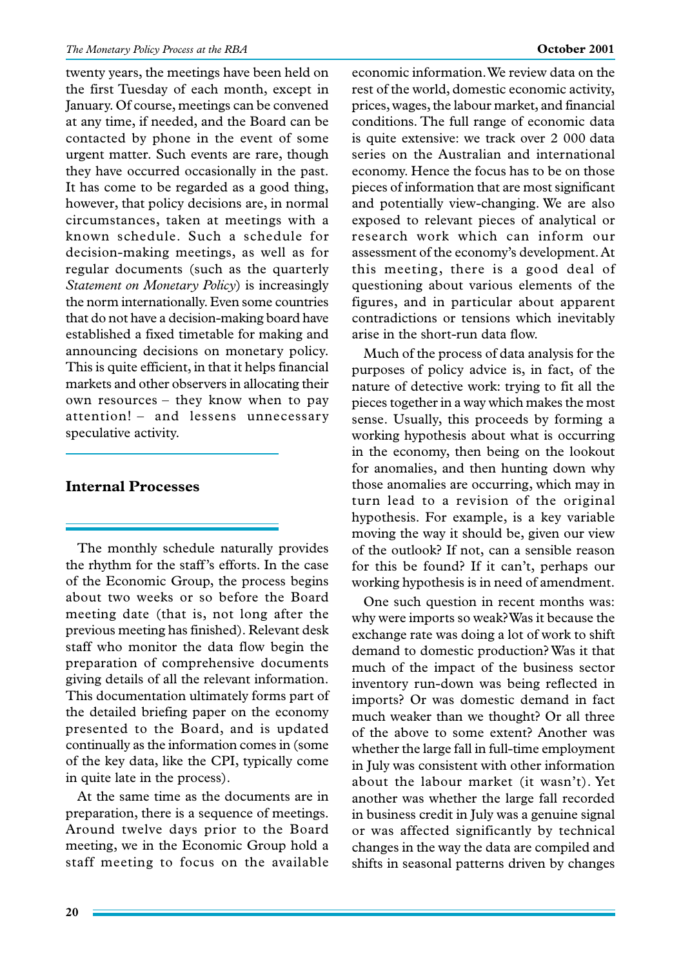twenty years, the meetings have been held on the first Tuesday of each month, except in January. Of course, meetings can be convened at any time, if needed, and the Board can be contacted by phone in the event of some urgent matter. Such events are rare, though they have occurred occasionally in the past. It has come to be regarded as a good thing, however, that policy decisions are, in normal circumstances, taken at meetings with a known schedule. Such a schedule for decision-making meetings, as well as for regular documents (such as the quarterly *Statement on Monetary Policy*) is increasingly the norm internationally. Even some countries that do not have a decision-making board have established a fixed timetable for making and announcing decisions on monetary policy. This is quite efficient, in that it helps financial markets and other observers in allocating their own resources – they know when to pay attention! – and lessens unnecessary speculative activity.

### **Internal Processes**

The monthly schedule naturally provides the rhythm for the staff's efforts. In the case of the Economic Group, the process begins about two weeks or so before the Board meeting date (that is, not long after the previous meeting has finished). Relevant desk staff who monitor the data flow begin the preparation of comprehensive documents giving details of all the relevant information. This documentation ultimately forms part of the detailed briefing paper on the economy presented to the Board, and is updated continually as the information comes in (some of the key data, like the CPI, typically come in quite late in the process).

At the same time as the documents are in preparation, there is a sequence of meetings. Around twelve days prior to the Board meeting, we in the Economic Group hold a staff meeting to focus on the available

economic information. We review data on the rest of the world, domestic economic activity, prices, wages, the labour market, and financial conditions. The full range of economic data is quite extensive: we track over 2 000 data series on the Australian and international economy. Hence the focus has to be on those pieces of information that are most significant and potentially view-changing. We are also exposed to relevant pieces of analytical or research work which can inform our assessment of the economy's development. At this meeting, there is a good deal of questioning about various elements of the figures, and in particular about apparent contradictions or tensions which inevitably arise in the short-run data flow.

Much of the process of data analysis for the purposes of policy advice is, in fact, of the nature of detective work: trying to fit all the pieces together in a way which makes the most sense. Usually, this proceeds by forming a working hypothesis about what is occurring in the economy, then being on the lookout for anomalies, and then hunting down why those anomalies are occurring, which may in turn lead to a revision of the original hypothesis. For example, is a key variable moving the way it should be, given our view of the outlook? If not, can a sensible reason for this be found? If it can't, perhaps our working hypothesis is in need of amendment.

One such question in recent months was: why were imports so weak? Was it because the exchange rate was doing a lot of work to shift demand to domestic production? Was it that much of the impact of the business sector inventory run-down was being reflected in imports? Or was domestic demand in fact much weaker than we thought? Or all three of the above to some extent? Another was whether the large fall in full-time employment in July was consistent with other information about the labour market (it wasn't). Yet another was whether the large fall recorded in business credit in July was a genuine signal or was affected significantly by technical changes in the way the data are compiled and shifts in seasonal patterns driven by changes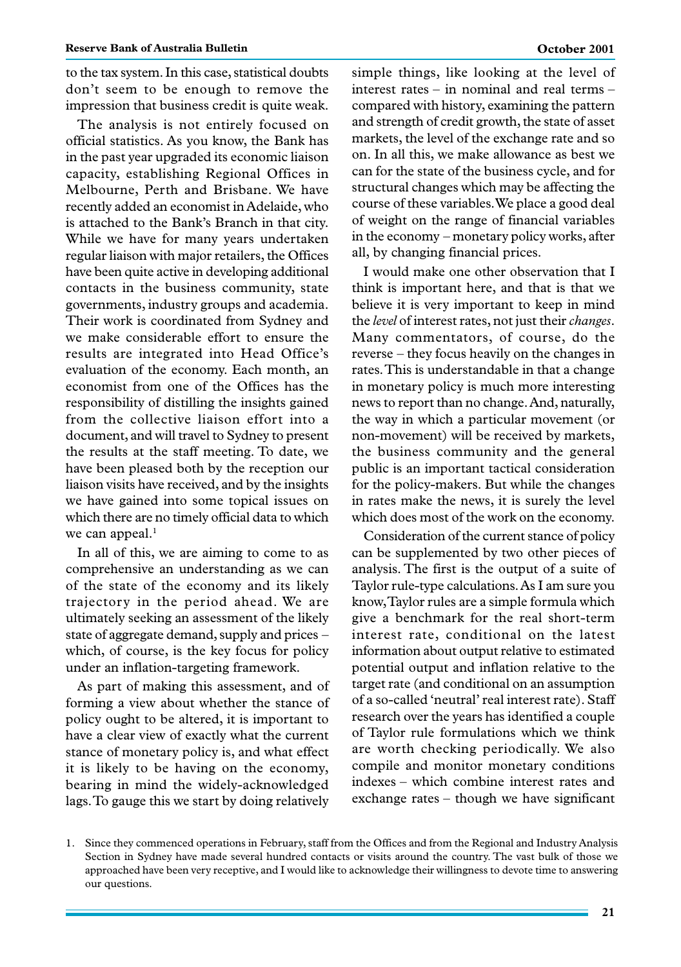to the tax system. In this case, statistical doubts don't seem to be enough to remove the impression that business credit is quite weak.

The analysis is not entirely focused on official statistics. As you know, the Bank has in the past year upgraded its economic liaison capacity, establishing Regional Offices in Melbourne, Perth and Brisbane. We have recently added an economist in Adelaide, who is attached to the Bank's Branch in that city. While we have for many years undertaken regular liaison with major retailers, the Offices have been quite active in developing additional contacts in the business community, state governments, industry groups and academia. Their work is coordinated from Sydney and we make considerable effort to ensure the results are integrated into Head Office's evaluation of the economy. Each month, an economist from one of the Offices has the responsibility of distilling the insights gained from the collective liaison effort into a document, and will travel to Sydney to present the results at the staff meeting. To date, we have been pleased both by the reception our liaison visits have received, and by the insights we have gained into some topical issues on which there are no timely official data to which we can appeal.<sup>1</sup>

In all of this, we are aiming to come to as comprehensive an understanding as we can of the state of the economy and its likely trajectory in the period ahead. We are ultimately seeking an assessment of the likely state of aggregate demand, supply and prices – which, of course, is the key focus for policy under an inflation-targeting framework.

As part of making this assessment, and of forming a view about whether the stance of policy ought to be altered, it is important to have a clear view of exactly what the current stance of monetary policy is, and what effect it is likely to be having on the economy, bearing in mind the widely-acknowledged lags. To gauge this we start by doing relatively simple things, like looking at the level of interest rates – in nominal and real terms – compared with history, examining the pattern and strength of credit growth, the state of asset markets, the level of the exchange rate and so on. In all this, we make allowance as best we can for the state of the business cycle, and for structural changes which may be affecting the course of these variables. We place a good deal of weight on the range of financial variables in the economy – monetary policy works, after all, by changing financial prices.

I would make one other observation that I think is important here, and that is that we believe it is very important to keep in mind the *level* of interest rates, not just their *changes*. Many commentators, of course, do the reverse – they focus heavily on the changes in rates. This is understandable in that a change in monetary policy is much more interesting news to report than no change. And, naturally, the way in which a particular movement (or non-movement) will be received by markets, the business community and the general public is an important tactical consideration for the policy-makers. But while the changes in rates make the news, it is surely the level which does most of the work on the economy.

Consideration of the current stance of policy can be supplemented by two other pieces of analysis. The first is the output of a suite of Taylor rule-type calculations. As I am sure you know, Taylor rules are a simple formula which give a benchmark for the real short-term interest rate, conditional on the latest information about output relative to estimated potential output and inflation relative to the target rate (and conditional on an assumption of a so-called 'neutral' real interest rate). Staff research over the years has identified a couple of Taylor rule formulations which we think are worth checking periodically. We also compile and monitor monetary conditions indexes – which combine interest rates and exchange rates – though we have significant

<sup>1.</sup> Since they commenced operations in February, staff from the Offices and from the Regional and Industry Analysis Section in Sydney have made several hundred contacts or visits around the country. The vast bulk of those we approached have been very receptive, and I would like to acknowledge their willingness to devote time to answering our questions.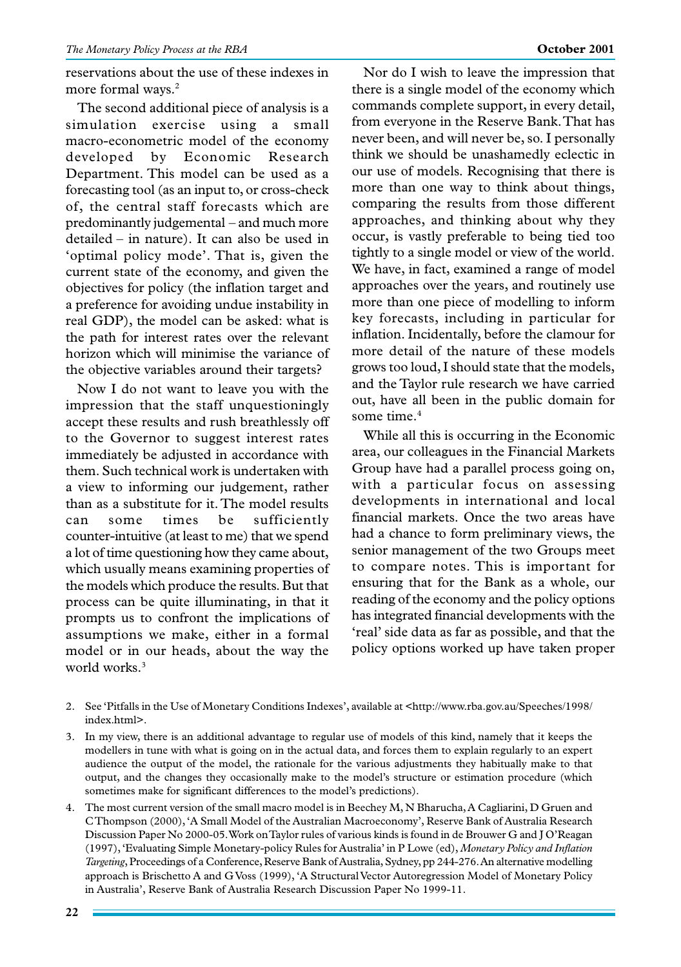reservations about the use of these indexes in more formal ways.<sup>2</sup>

The second additional piece of analysis is a simulation exercise using a small macro-econometric model of the economy developed by Economic Research Department. This model can be used as a forecasting tool (as an input to, or cross-check of, the central staff forecasts which are predominantly judgemental – and much more detailed – in nature). It can also be used in 'optimal policy mode'. That is, given the current state of the economy, and given the objectives for policy (the inflation target and a preference for avoiding undue instability in real GDP), the model can be asked: what is the path for interest rates over the relevant horizon which will minimise the variance of the objective variables around their targets?

Now I do not want to leave you with the impression that the staff unquestioningly accept these results and rush breathlessly off to the Governor to suggest interest rates immediately be adjusted in accordance with them. Such technical work is undertaken with a view to informing our judgement, rather than as a substitute for it. The model results can some times be sufficiently counter-intuitive (at least to me) that we spend a lot of time questioning how they came about, which usually means examining properties of the models which produce the results. But that process can be quite illuminating, in that it prompts us to confront the implications of assumptions we make, either in a formal model or in our heads, about the way the world works.<sup>3</sup>

Nor do I wish to leave the impression that there is a single model of the economy which commands complete support, in every detail, from everyone in the Reserve Bank. That has never been, and will never be, so. I personally think we should be unashamedly eclectic in our use of models. Recognising that there is more than one way to think about things, comparing the results from those different approaches, and thinking about why they occur, is vastly preferable to being tied too tightly to a single model or view of the world. We have, in fact, examined a range of model approaches over the years, and routinely use more than one piece of modelling to inform key forecasts, including in particular for inflation. Incidentally, before the clamour for more detail of the nature of these models grows too loud, I should state that the models, and the Taylor rule research we have carried out, have all been in the public domain for some time.<sup>4</sup>

While all this is occurring in the Economic area, our colleagues in the Financial Markets Group have had a parallel process going on, with a particular focus on assessing developments in international and local financial markets. Once the two areas have had a chance to form preliminary views, the senior management of the two Groups meet to compare notes. This is important for ensuring that for the Bank as a whole, our reading of the economy and the policy options has integrated financial developments with the 'real' side data as far as possible, and that the policy options worked up have taken proper

- 2. See 'Pitfalls in the Use of Monetary Conditions Indexes', available at <http://www.rba.gov.au/Speeches/1998/ index.html>.
- 3. In my view, there is an additional advantage to regular use of models of this kind, namely that it keeps the modellers in tune with what is going on in the actual data, and forces them to explain regularly to an expert audience the output of the model, the rationale for the various adjustments they habitually make to that output, and the changes they occasionally make to the model's structure or estimation procedure (which sometimes make for significant differences to the model's predictions).
- 4. The most current version of the small macro model is in Beechey M, N Bharucha, A Cagliarini, D Gruen and C Thompson (2000), 'A Small Model of the Australian Macroeconomy', Reserve Bank of Australia Research Discussion Paper No 2000-05. Work on Taylor rules of various kinds is found in de Brouwer G and J O'Reagan (1997), 'Evaluating Simple Monetary-policy Rules for Australia' in P Lowe (ed), *Monetary Policy and Inflation Targeting*, Proceedings of a Conference, Reserve Bank of Australia, Sydney, pp 244-276. An alternative modelling approach is Brischetto A and G Voss (1999), 'A Structural Vector Autoregression Model of Monetary Policy in Australia', Reserve Bank of Australia Research Discussion Paper No 1999-11.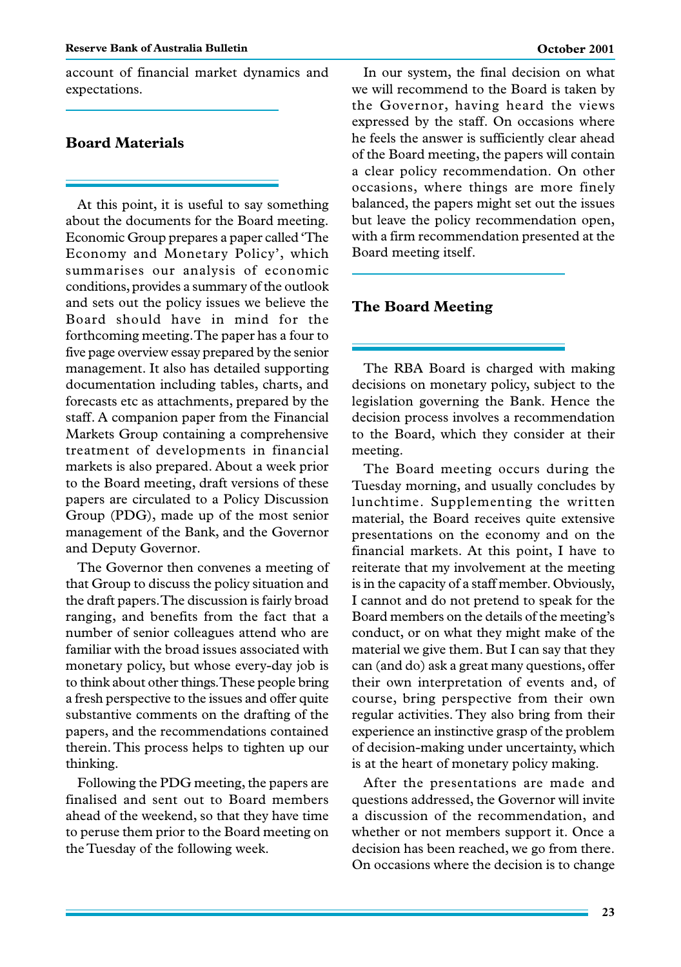account of financial market dynamics and expectations.

# **Board Materials**

At this point, it is useful to say something about the documents for the Board meeting. Economic Group prepares a paper called 'The Economy and Monetary Policy', which summarises our analysis of economic conditions, provides a summary of the outlook and sets out the policy issues we believe the Board should have in mind for the forthcoming meeting. The paper has a four to five page overview essay prepared by the senior management. It also has detailed supporting documentation including tables, charts, and forecasts etc as attachments, prepared by the staff. A companion paper from the Financial Markets Group containing a comprehensive treatment of developments in financial markets is also prepared. About a week prior to the Board meeting, draft versions of these papers are circulated to a Policy Discussion Group (PDG), made up of the most senior management of the Bank, and the Governor and Deputy Governor.

The Governor then convenes a meeting of that Group to discuss the policy situation and the draft papers. The discussion is fairly broad ranging, and benefits from the fact that a number of senior colleagues attend who are familiar with the broad issues associated with monetary policy, but whose every-day job is to think about other things. These people bring a fresh perspective to the issues and offer quite substantive comments on the drafting of the papers, and the recommendations contained therein. This process helps to tighten up our thinking.

Following the PDG meeting, the papers are finalised and sent out to Board members ahead of the weekend, so that they have time to peruse them prior to the Board meeting on the Tuesday of the following week.

In our system, the final decision on what we will recommend to the Board is taken by the Governor, having heard the views expressed by the staff. On occasions where he feels the answer is sufficiently clear ahead of the Board meeting, the papers will contain a clear policy recommendation. On other occasions, where things are more finely balanced, the papers might set out the issues but leave the policy recommendation open, with a firm recommendation presented at the Board meeting itself.

#### **The Board Meeting**

The RBA Board is charged with making decisions on monetary policy, subject to the legislation governing the Bank. Hence the decision process involves a recommendation to the Board, which they consider at their meeting.

The Board meeting occurs during the Tuesday morning, and usually concludes by lunchtime. Supplementing the written material, the Board receives quite extensive presentations on the economy and on the financial markets. At this point, I have to reiterate that my involvement at the meeting is in the capacity of a staff member. Obviously, I cannot and do not pretend to speak for the Board members on the details of the meeting's conduct, or on what they might make of the material we give them. But I can say that they can (and do) ask a great many questions, offer their own interpretation of events and, of course, bring perspective from their own regular activities. They also bring from their experience an instinctive grasp of the problem of decision-making under uncertainty, which is at the heart of monetary policy making.

After the presentations are made and questions addressed, the Governor will invite a discussion of the recommendation, and whether or not members support it. Once a decision has been reached, we go from there. On occasions where the decision is to change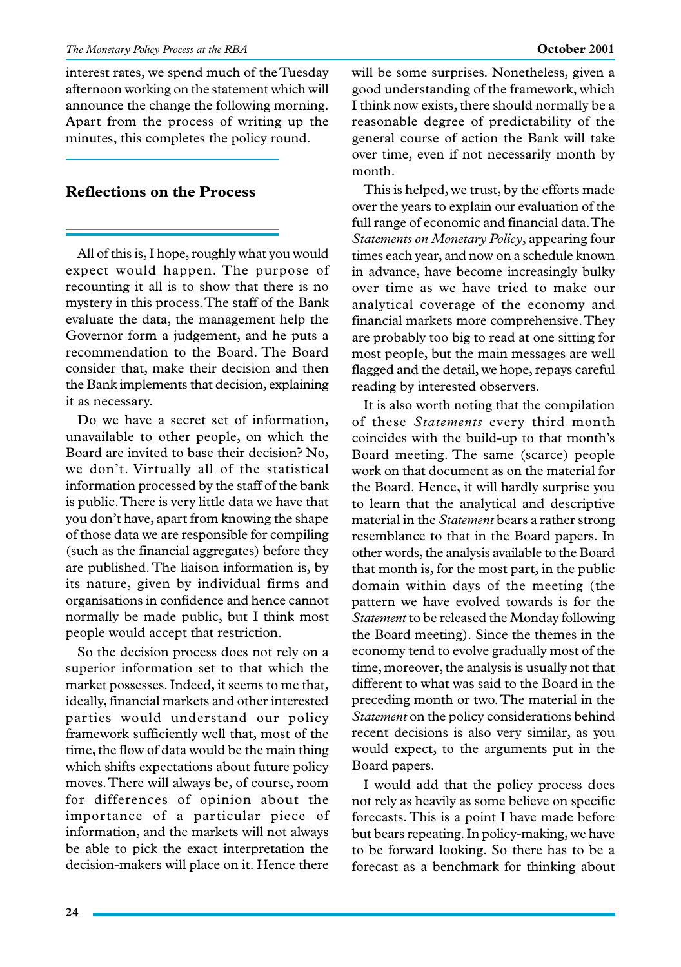interest rates, we spend much of the Tuesday afternoon working on the statement which will announce the change the following morning. Apart from the process of writing up the minutes, this completes the policy round.

## **Reflections on the Process**

All of this is, I hope, roughly what you would expect would happen. The purpose of recounting it all is to show that there is no mystery in this process. The staff of the Bank evaluate the data, the management help the Governor form a judgement, and he puts a recommendation to the Board. The Board consider that, make their decision and then the Bank implements that decision, explaining it as necessary.

Do we have a secret set of information, unavailable to other people, on which the Board are invited to base their decision? No, we don't. Virtually all of the statistical information processed by the staff of the bank is public. There is very little data we have that you don't have, apart from knowing the shape of those data we are responsible for compiling (such as the financial aggregates) before they are published. The liaison information is, by its nature, given by individual firms and organisations in confidence and hence cannot normally be made public, but I think most people would accept that restriction.

So the decision process does not rely on a superior information set to that which the market possesses. Indeed, it seems to me that, ideally, financial markets and other interested parties would understand our policy framework sufficiently well that, most of the time, the flow of data would be the main thing which shifts expectations about future policy moves. There will always be, of course, room for differences of opinion about the importance of a particular piece of information, and the markets will not always be able to pick the exact interpretation the decision-makers will place on it. Hence there will be some surprises. Nonetheless, given a good understanding of the framework, which I think now exists, there should normally be a reasonable degree of predictability of the general course of action the Bank will take over time, even if not necessarily month by month.

This is helped, we trust, by the efforts made over the years to explain our evaluation of the full range of economic and financial data. The *Statements on Monetary Policy*, appearing four times each year, and now on a schedule known in advance, have become increasingly bulky over time as we have tried to make our analytical coverage of the economy and financial markets more comprehensive. They are probably too big to read at one sitting for most people, but the main messages are well flagged and the detail, we hope, repays careful reading by interested observers.

It is also worth noting that the compilation of these *Statements* every third month coincides with the build-up to that month's Board meeting. The same (scarce) people work on that document as on the material for the Board. Hence, it will hardly surprise you to learn that the analytical and descriptive material in the *Statement* bears a rather strong resemblance to that in the Board papers. In other words, the analysis available to the Board that month is, for the most part, in the public domain within days of the meeting (the pattern we have evolved towards is for the *Statement* to be released the Monday following the Board meeting). Since the themes in the economy tend to evolve gradually most of the time, moreover, the analysis is usually not that different to what was said to the Board in the preceding month or two. The material in the *Statement* on the policy considerations behind recent decisions is also very similar, as you would expect, to the arguments put in the Board papers.

I would add that the policy process does not rely as heavily as some believe on specific forecasts. This is a point I have made before but bears repeating. In policy-making, we have to be forward looking. So there has to be a forecast as a benchmark for thinking about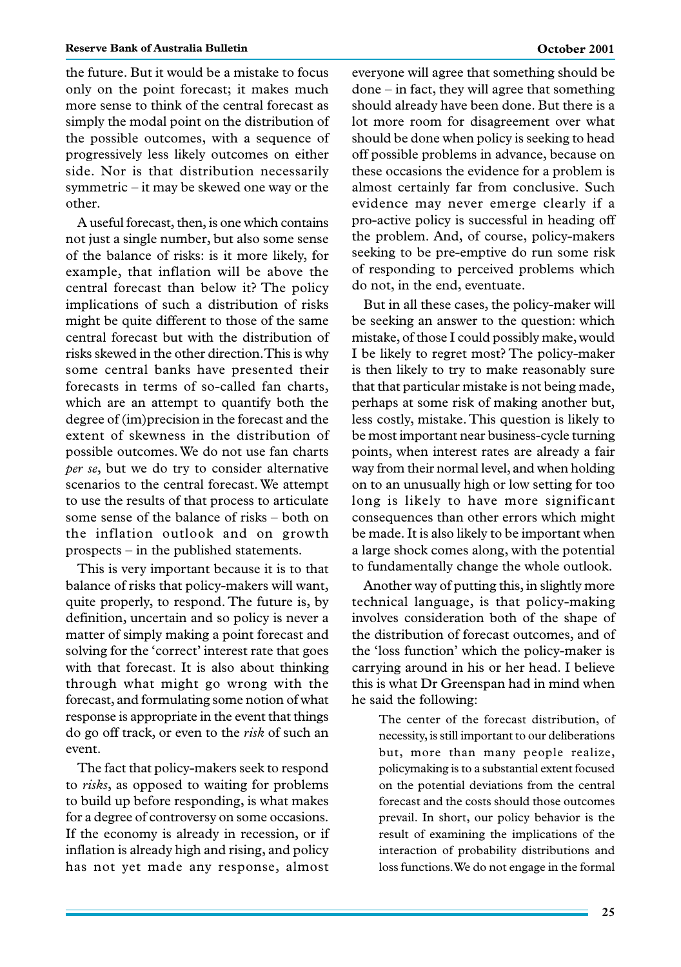the future. But it would be a mistake to focus only on the point forecast; it makes much more sense to think of the central forecast as simply the modal point on the distribution of the possible outcomes, with a sequence of progressively less likely outcomes on either side. Nor is that distribution necessarily symmetric – it may be skewed one way or the other.

A useful forecast, then, is one which contains not just a single number, but also some sense of the balance of risks: is it more likely, for example, that inflation will be above the central forecast than below it? The policy implications of such a distribution of risks might be quite different to those of the same central forecast but with the distribution of risks skewed in the other direction. This is why some central banks have presented their forecasts in terms of so-called fan charts, which are an attempt to quantify both the degree of (im)precision in the forecast and the extent of skewness in the distribution of possible outcomes. We do not use fan charts *per se*, but we do try to consider alternative scenarios to the central forecast. We attempt to use the results of that process to articulate some sense of the balance of risks – both on the inflation outlook and on growth prospects – in the published statements.

This is very important because it is to that balance of risks that policy-makers will want, quite properly, to respond. The future is, by definition, uncertain and so policy is never a matter of simply making a point forecast and solving for the 'correct' interest rate that goes with that forecast. It is also about thinking through what might go wrong with the forecast, and formulating some notion of what response is appropriate in the event that things do go off track, or even to the *risk* of such an event.

The fact that policy-makers seek to respond to *risks*, as opposed to waiting for problems to build up before responding, is what makes for a degree of controversy on some occasions. If the economy is already in recession, or if inflation is already high and rising, and policy has not yet made any response, almost everyone will agree that something should be done – in fact, they will agree that something should already have been done. But there is a lot more room for disagreement over what should be done when policy is seeking to head off possible problems in advance, because on these occasions the evidence for a problem is almost certainly far from conclusive. Such evidence may never emerge clearly if a pro-active policy is successful in heading off the problem. And, of course, policy-makers seeking to be pre-emptive do run some risk of responding to perceived problems which do not, in the end, eventuate.

But in all these cases, the policy-maker will be seeking an answer to the question: which mistake, of those I could possibly make, would I be likely to regret most? The policy-maker is then likely to try to make reasonably sure that that particular mistake is not being made, perhaps at some risk of making another but, less costly, mistake. This question is likely to be most important near business-cycle turning points, when interest rates are already a fair way from their normal level, and when holding on to an unusually high or low setting for too long is likely to have more significant consequences than other errors which might be made. It is also likely to be important when a large shock comes along, with the potential to fundamentally change the whole outlook.

Another way of putting this, in slightly more technical language, is that policy-making involves consideration both of the shape of the distribution of forecast outcomes, and of the 'loss function' which the policy-maker is carrying around in his or her head. I believe this is what Dr Greenspan had in mind when he said the following:

> The center of the forecast distribution, of necessity, is still important to our deliberations but, more than many people realize, policymaking is to a substantial extent focused on the potential deviations from the central forecast and the costs should those outcomes prevail. In short, our policy behavior is the result of examining the implications of the interaction of probability distributions and loss functions. We do not engage in the formal